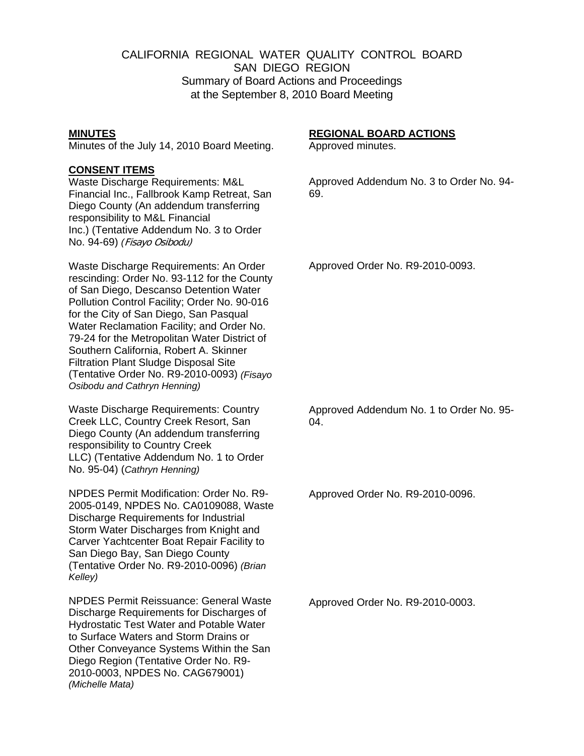# CALIFORNIA REGIONAL WATER QUALITY CONTROL BOARD SAN DIEGO REGION Summary of Board Actions and Proceedings at the September 8, 2010 Board Meeting

### **MINUTES**

Minutes of the July 14, 2010 Board Meeting.

## **CONSENT ITEMS**

Waste Discharge Requirements: M&L Financial Inc., Fallbrook Kamp Retreat, San Diego County (An addendum transferring responsibility to M&L Financial Inc.) (Tentative Addendum No. 3 to Order No. 94-69) *(*Fisayo Osibodu)

Waste Discharge Requirements: An Order rescinding: Order No. 93-112 for the County of San Diego, Descanso Detention Water Pollution Control Facility; Order No. 90-016 for the City of San Diego, San Pasqual Water Reclamation Facility; and Order No. 79-24 for the Metropolitan Water District of Southern California, Robert A. Skinner Filtration Plant Sludge Disposal Site (Tentative Order No. R9-2010-0093) *(Fisayo Osibodu and Cathryn Henning)*

Waste Discharge Requirements: Country Creek LLC, Country Creek Resort, San Diego County (An addendum transferring responsibility to Country Creek LLC) (Tentative Addendum No. 1 to Order No. 95-04) (*Cathryn Henning)*

NPDES Permit Modification: Order No. R9- 2005-0149, NPDES No. CA0109088, Waste Discharge Requirements for Industrial Storm Water Discharges from Knight and Carver Yachtcenter Boat Repair Facility to San Diego Bay, San Diego County (Tentative Order No. R9-2010-0096) *(Brian Kelley)*

NPDES Permit Reissuance: General Waste Discharge Requirements for Discharges of Hydrostatic Test Water and Potable Water to Surface Waters and Storm Drains or Other Conveyance Systems Within the San Diego Region (Tentative Order No. R9- 2010-0003, NPDES No. CAG679001) *(Michelle Mata)* 

#### **REGIONAL BOARD ACTIONS**

Approved minutes.

Approved Addendum No. 3 to Order No. 94- 69.

Approved Order No. R9-2010-0093.

Approved Addendum No. 1 to Order No. 95- 04.

Approved Order No. R9-2010-0096.

Approved Order No. R9-2010-0003.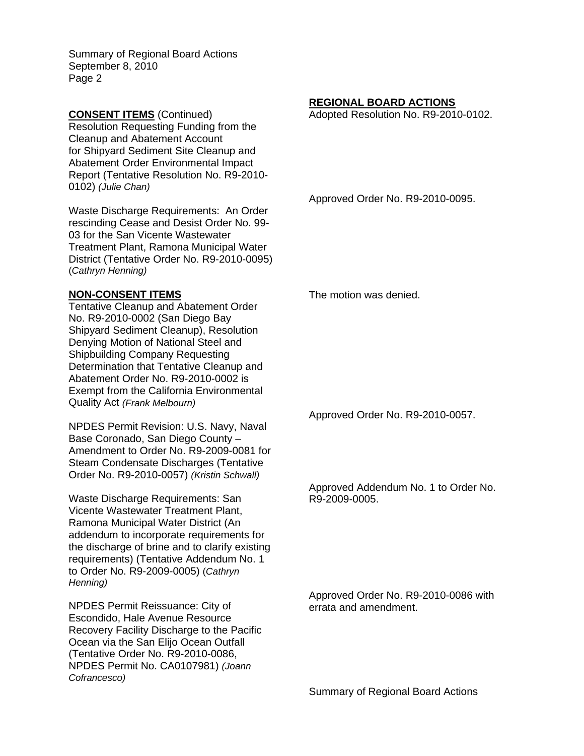Summary of Regional Board Actions September 8, 2010 Page 2

**CONSENT ITEMS** (Continued) Resolution Requesting Funding from the Cleanup and Abatement Account for Shipyard Sediment Site Cleanup and Abatement Order Environmental Impact Report (Tentative Resolution No. R9-2010- 0102) *(Julie Chan)*

Waste Discharge Requirements: An Order rescinding Cease and Desist Order No. 99- 03 for the San Vicente Wastewater Treatment Plant, Ramona Municipal Water District (Tentative Order No. R9-2010-0095) (*Cathryn Henning)*

### **NON-CONSENT ITEMS**

Tentative Cleanup and Abatement Order No. R9-2010-0002 (San Diego Bay Shipyard Sediment Cleanup), Resolution Denying Motion of National Steel and Shipbuilding Company Requesting Determination that Tentative Cleanup and Abatement Order No. R9-2010-0002 is Exempt from the California Environmental Quality Act *(Frank Melbourn)*

NPDES Permit Revision: U.S. Navy, Naval Base Coronado, San Diego County – Amendment to Order No. R9-2009-0081 for Steam Condensate Discharges (Tentative Order No. R9-2010-0057) *(Kristin Schwall)*

Waste Discharge Requirements: San Vicente Wastewater Treatment Plant, Ramona Municipal Water District (An addendum to incorporate requirements for the discharge of brine and to clarify existing requirements) (Tentative Addendum No. 1 to Order No. R9-2009-0005) (*Cathryn Henning)*

NPDES Permit Reissuance: City of Escondido, Hale Avenue Resource Recovery Facility Discharge to the Pacific Ocean via the San Elijo Ocean Outfall (Tentative Order No. R9-2010-0086, NPDES Permit No. CA0107981) *(Joann Cofrancesco)*

# **REGIONAL BOARD ACTIONS**

Adopted Resolution No. R9-2010-0102.

Approved Order No. R9-2010-0095.

The motion was denied.

Approved Order No. R9-2010-0057.

Approved Addendum No. 1 to Order No. R9-2009-0005.

Approved Order No. R9-2010-0086 with errata and amendment.

Summary of Regional Board Actions